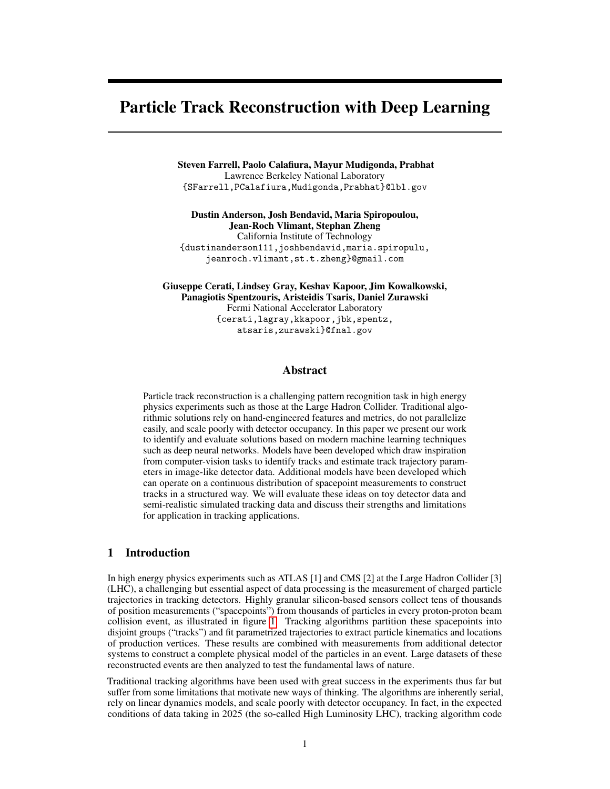# Particle Track Reconstruction with Deep Learning

Steven Farrell, Paolo Calafiura, Mayur Mudigonda, Prabhat Lawrence Berkeley National Laboratory {SFarrell,PCalafiura,Mudigonda,Prabhat}@lbl.gov

Dustin Anderson, Josh Bendavid, Maria Spiropoulou, Jean-Roch Vlimant, Stephan Zheng California Institute of Technology {dustinanderson111,joshbendavid,maria.spiropulu, jeanroch.vlimant,st.t.zheng}@gmail.com

Giuseppe Cerati, Lindsey Gray, Keshav Kapoor, Jim Kowalkowski, Panagiotis Spentzouris, Aristeidis Tsaris, Daniel Zurawski Fermi National Accelerator Laboratory {cerati,lagray,kkapoor,jbk,spentz, atsaris,zurawski}@fnal.gov

#### Abstract

Particle track reconstruction is a challenging pattern recognition task in high energy physics experiments such as those at the Large Hadron Collider. Traditional algorithmic solutions rely on hand-engineered features and metrics, do not parallelize easily, and scale poorly with detector occupancy. In this paper we present our work to identify and evaluate solutions based on modern machine learning techniques such as deep neural networks. Models have been developed which draw inspiration from computer-vision tasks to identify tracks and estimate track trajectory parameters in image-like detector data. Additional models have been developed which can operate on a continuous distribution of spacepoint measurements to construct tracks in a structured way. We will evaluate these ideas on toy detector data and semi-realistic simulated tracking data and discuss their strengths and limitations for application in tracking applications.

## 1 Introduction

In high energy physics experiments such as ATLAS [1] and CMS [2] at the Large Hadron Collider [3] (LHC), a challenging but essential aspect of data processing is the measurement of charged particle trajectories in tracking detectors. Highly granular silicon-based sensors collect tens of thousands of position measurements ("spacepoints") from thousands of particles in every proton-proton beam collision event, as illustrated in figure [1.](#page-1-0) Tracking algorithms partition these spacepoints into disjoint groups ("tracks") and fit parametrized trajectories to extract particle kinematics and locations of production vertices. These results are combined with measurements from additional detector systems to construct a complete physical model of the particles in an event. Large datasets of these reconstructed events are then analyzed to test the fundamental laws of nature.

Traditional tracking algorithms have been used with great success in the experiments thus far but suffer from some limitations that motivate new ways of thinking. The algorithms are inherently serial, rely on linear dynamics models, and scale poorly with detector occupancy. In fact, in the expected conditions of data taking in 2025 (the so-called High Luminosity LHC), tracking algorithm code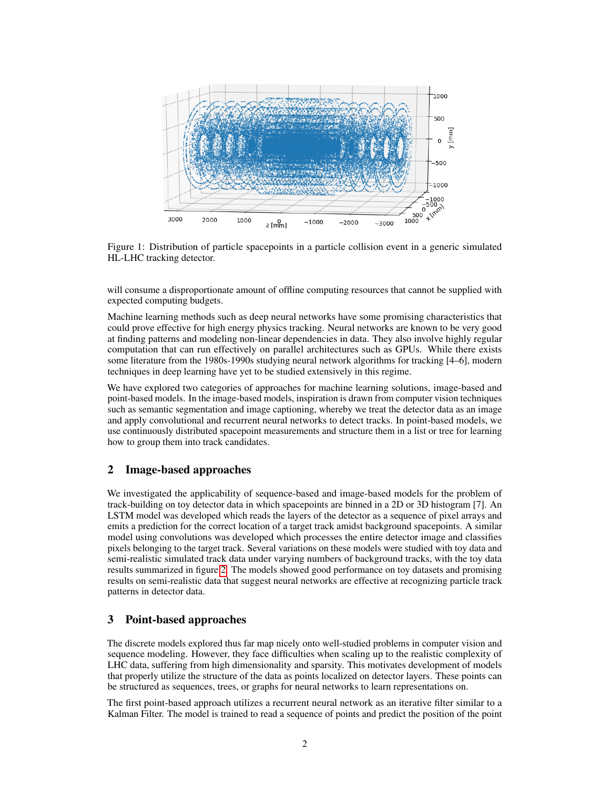

<span id="page-1-0"></span>Figure 1: Distribution of particle spacepoints in a particle collision event in a generic simulated HL-LHC tracking detector.

will consume a disproportionate amount of offline computing resources that cannot be supplied with expected computing budgets.

Machine learning methods such as deep neural networks have some promising characteristics that could prove effective for high energy physics tracking. Neural networks are known to be very good at finding patterns and modeling non-linear dependencies in data. They also involve highly regular computation that can run effectively on parallel architectures such as GPUs. While there exists some literature from the 1980s-1990s studying neural network algorithms for tracking [4–6], modern techniques in deep learning have yet to be studied extensively in this regime.

We have explored two categories of approaches for machine learning solutions, image-based and point-based models. In the image-based models, inspiration is drawn from computer vision techniques such as semantic segmentation and image captioning, whereby we treat the detector data as an image and apply convolutional and recurrent neural networks to detect tracks. In point-based models, we use continuously distributed spacepoint measurements and structure them in a list or tree for learning how to group them into track candidates.

## 2 Image-based approaches

We investigated the applicability of sequence-based and image-based models for the problem of track-building on toy detector data in which spacepoints are binned in a 2D or 3D histogram [7]. An LSTM model was developed which reads the layers of the detector as a sequence of pixel arrays and emits a prediction for the correct location of a target track amidst background spacepoints. A similar model using convolutions was developed which processes the entire detector image and classifies pixels belonging to the target track. Several variations on these models were studied with toy data and semi-realistic simulated track data under varying numbers of background tracks, with the toy data results summarized in figure [2.](#page-2-0) The models showed good performance on toy datasets and promising results on semi-realistic data that suggest neural networks are effective at recognizing particle track patterns in detector data.

#### 3 Point-based approaches

The discrete models explored thus far map nicely onto well-studied problems in computer vision and sequence modeling. However, they face difficulties when scaling up to the realistic complexity of LHC data, suffering from high dimensionality and sparsity. This motivates development of models that properly utilize the structure of the data as points localized on detector layers. These points can be structured as sequences, trees, or graphs for neural networks to learn representations on.

The first point-based approach utilizes a recurrent neural network as an iterative filter similar to a Kalman Filter. The model is trained to read a sequence of points and predict the position of the point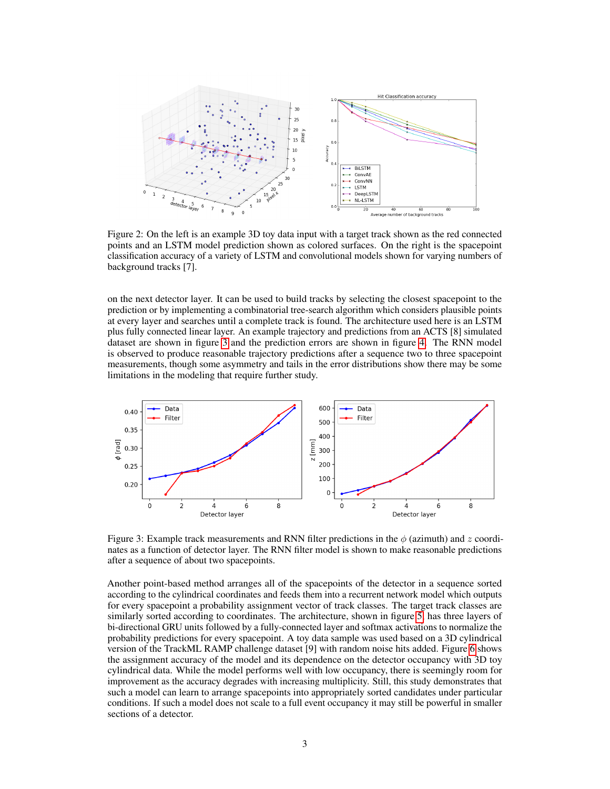

<span id="page-2-0"></span>Figure 2: On the left is an example 3D toy data input with a target track shown as the red connected points and an LSTM model prediction shown as colored surfaces. On the right is the spacepoint classification accuracy of a variety of LSTM and convolutional models shown for varying numbers of background tracks [7].

on the next detector layer. It can be used to build tracks by selecting the closest spacepoint to the prediction or by implementing a combinatorial tree-search algorithm which considers plausible points at every layer and searches until a complete track is found. The architecture used here is an LSTM plus fully connected linear layer. An example trajectory and predictions from an ACTS [8] simulated dataset are shown in figure [3](#page-2-1) and the prediction errors are shown in figure [4.](#page-3-0) The RNN model is observed to produce reasonable trajectory predictions after a sequence two to three spacepoint measurements, though some asymmetry and tails in the error distributions show there may be some limitations in the modeling that require further study.



<span id="page-2-1"></span>Figure 3: Example track measurements and RNN filter predictions in the  $\phi$  (azimuth) and z coordinates as a function of detector layer. The RNN filter model is shown to make reasonable predictions after a sequence of about two spacepoints.

Another point-based method arranges all of the spacepoints of the detector in a sequence sorted according to the cylindrical coordinates and feeds them into a recurrent network model which outputs for every spacepoint a probability assignment vector of track classes. The target track classes are similarly sorted according to coordinates. The architecture, shown in figure [5,](#page-3-1) has three layers of bi-directional GRU units followed by a fully-connected layer and softmax activations to normalize the probability predictions for every spacepoint. A toy data sample was used based on a 3D cylindrical version of the TrackML RAMP challenge dataset [9] with random noise hits added. Figure [6](#page-4-0) shows the assignment accuracy of the model and its dependence on the detector occupancy with 3D toy cylindrical data. While the model performs well with low occupancy, there is seemingly room for improvement as the accuracy degrades with increasing multiplicity. Still, this study demonstrates that such a model can learn to arrange spacepoints into appropriately sorted candidates under particular conditions. If such a model does not scale to a full event occupancy it may still be powerful in smaller sections of a detector.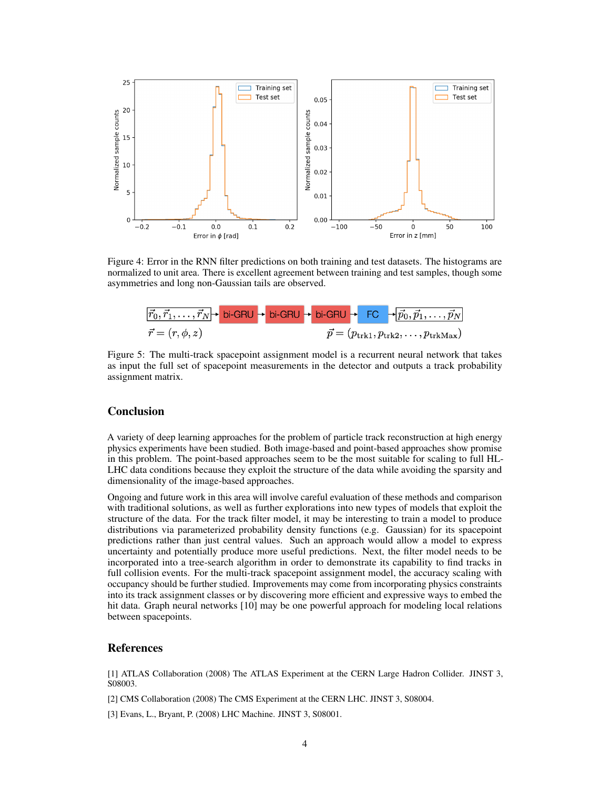

<span id="page-3-0"></span>Figure 4: Error in the RNN filter predictions on both training and test datasets. The histograms are normalized to unit area. There is excellent agreement between training and test samples, though some asymmetries and long non-Gaussian tails are observed.



<span id="page-3-1"></span>Figure 5: The multi-track spacepoint assignment model is a recurrent neural network that takes as input the full set of spacepoint measurements in the detector and outputs a track probability assignment matrix.

## **Conclusion**

A variety of deep learning approaches for the problem of particle track reconstruction at high energy physics experiments have been studied. Both image-based and point-based approaches show promise in this problem. The point-based approaches seem to be the most suitable for scaling to full HL-LHC data conditions because they exploit the structure of the data while avoiding the sparsity and dimensionality of the image-based approaches.

Ongoing and future work in this area will involve careful evaluation of these methods and comparison with traditional solutions, as well as further explorations into new types of models that exploit the structure of the data. For the track filter model, it may be interesting to train a model to produce distributions via parameterized probability density functions (e.g. Gaussian) for its spacepoint predictions rather than just central values. Such an approach would allow a model to express uncertainty and potentially produce more useful predictions. Next, the filter model needs to be incorporated into a tree-search algorithm in order to demonstrate its capability to find tracks in full collision events. For the multi-track spacepoint assignment model, the accuracy scaling with occupancy should be further studied. Improvements may come from incorporating physics constraints into its track assignment classes or by discovering more efficient and expressive ways to embed the hit data. Graph neural networks [10] may be one powerful approach for modeling local relations between spacepoints.

#### References

[1] ATLAS Collaboration (2008) The ATLAS Experiment at the CERN Large Hadron Collider. JINST 3, S08003.

[2] CMS Collaboration (2008) The CMS Experiment at the CERN LHC. JINST 3, S08004.

[3] Evans, L., Bryant, P. (2008) LHC Machine. JINST 3, S08001.